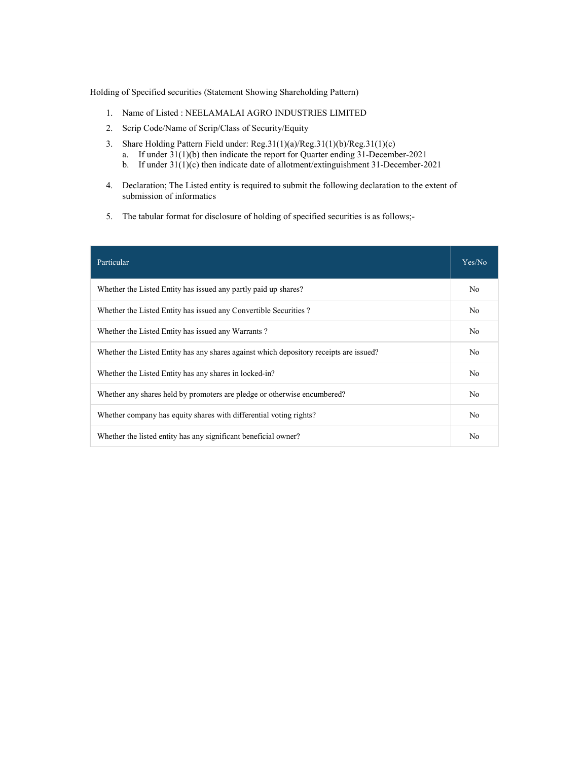Holding of Specified securities (Statement Showing Shareholding Pattern)

- 1. Name of Listed : NEELAMALAI AGRO INDUSTRIES LIMITED
- 2. Scrip Code/Name of Scrip/Class of Security/Equity
- 3. Share Holding Pattern Field under: Reg.31(1)(a)/Reg.31(1)(b)/Reg.31(1)(c)
	- a. If under 31(1)(b) then indicate the report for Quarter ending 31-December-2021
	- b. If under 31(1)(c) then indicate date of allotment/extinguishment 31-December-2021
- 4. Declaration; The Listed entity is required to submit the following declaration to the extent of submission of informatics
- 5. The tabular format for disclosure of holding of specified securities is as follows;-

| Particular                                                                             | Yes/No         |
|----------------------------------------------------------------------------------------|----------------|
| Whether the Listed Entity has issued any partly paid up shares?                        | N <sub>0</sub> |
| Whether the Listed Entity has issued any Convertible Securities?                       | N <sub>0</sub> |
| Whether the Listed Entity has issued any Warrants?                                     | N <sub>0</sub> |
| Whether the Listed Entity has any shares against which depository receipts are issued? | No.            |
| Whether the Listed Entity has any shares in locked-in?                                 | N <sub>0</sub> |
| Whether any shares held by promoters are pledge or otherwise encumbered?               | N <sub>0</sub> |
| Whether company has equity shares with differential voting rights?                     | N <sub>0</sub> |
| Whether the listed entity has any significant beneficial owner?                        | No             |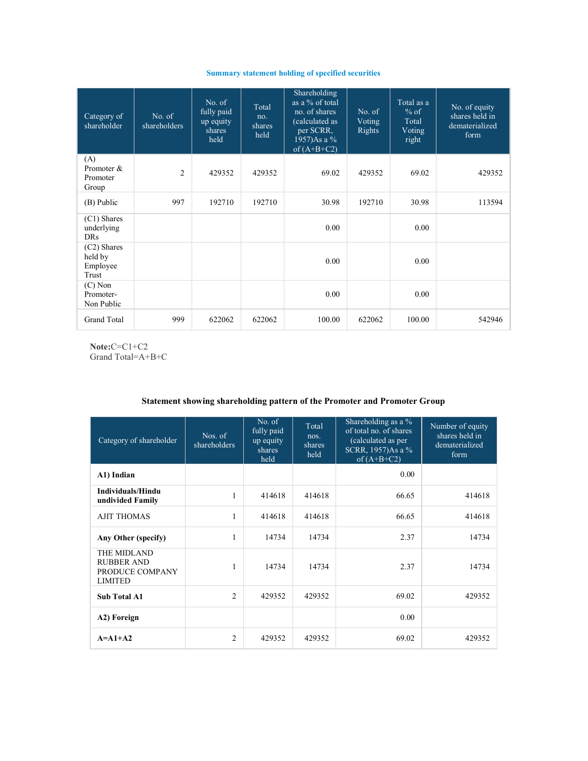## Summary statement holding of specified securities

| Category of<br>shareholder                  | No. of<br>shareholders | No. of<br>fully paid<br>up equity<br>shares<br>held | Total<br>no.<br>shares<br>held | Shareholding<br>as a % of total<br>no. of shares<br>(calculated as<br>per SCRR,<br>1957)As a %<br>of $(A+B+C2)$ | No. of<br>Voting<br>Rights | Total as a<br>$%$ of<br>Total<br>Voting<br>right | No. of equity<br>shares held in<br>dematerialized<br>form |
|---------------------------------------------|------------------------|-----------------------------------------------------|--------------------------------|-----------------------------------------------------------------------------------------------------------------|----------------------------|--------------------------------------------------|-----------------------------------------------------------|
| (A)<br>Promoter &<br>Promoter<br>Group      | $\overline{c}$         | 429352                                              | 429352                         | 69.02                                                                                                           | 429352                     | 69.02                                            | 429352                                                    |
| (B) Public                                  | 997                    | 192710                                              | 192710                         | 30.98                                                                                                           | 192710                     | 30.98                                            | 113594                                                    |
| (C1) Shares<br>underlying<br><b>DRs</b>     |                        |                                                     |                                | 0.00                                                                                                            |                            | 0.00                                             |                                                           |
| (C2) Shares<br>held by<br>Employee<br>Trust |                        |                                                     |                                | 0.00                                                                                                            |                            | 0.00                                             |                                                           |
| $(C)$ Non<br>Promoter-<br>Non Public        |                        |                                                     |                                | 0.00                                                                                                            |                            | 0.00                                             |                                                           |
| <b>Grand Total</b>                          | 999                    | 622062                                              | 622062                         | 100.00                                                                                                          | 622062                     | 100.00                                           | 542946                                                    |

Note:C=C1+C2 Grand Total=A+B+C

## Statement showing shareholding pattern of the Promoter and Promoter Group

| Category of shareholder                                               | Nos. of<br>shareholders | No. of<br>fully paid<br>up equity<br>shares<br>held | Total<br>nos.<br>shares<br>held | Shareholding as a %<br>of total no. of shares<br>(calculated as per<br>SCRR, 1957)As a %<br>of $(A+B+C2)$ | Number of equity<br>shares held in<br>dematerialized<br>form |
|-----------------------------------------------------------------------|-------------------------|-----------------------------------------------------|---------------------------------|-----------------------------------------------------------------------------------------------------------|--------------------------------------------------------------|
| A1) Indian                                                            |                         |                                                     |                                 | 0.00                                                                                                      |                                                              |
| Individuals/Hindu<br>undivided Family                                 | 1                       | 414618                                              | 414618                          | 66.65                                                                                                     | 414618                                                       |
| <b>AJIT THOMAS</b>                                                    | $\mathbf{1}$            | 414618                                              | 414618                          | 66.65                                                                                                     | 414618                                                       |
| Any Other (specify)                                                   | $\mathbf{1}$            | 14734                                               | 14734                           | 2.37                                                                                                      | 14734                                                        |
| THE MIDLAND<br><b>RUBBER AND</b><br>PRODUCE COMPANY<br><b>LIMITED</b> | 1                       | 14734                                               | 14734                           | 2.37                                                                                                      | 14734                                                        |
| <b>Sub Total A1</b>                                                   | $\overline{2}$          | 429352                                              | 429352                          | 69.02                                                                                                     | 429352                                                       |
| A2) Foreign                                                           |                         |                                                     |                                 | 0.00                                                                                                      |                                                              |
| $A=A1+A2$                                                             | $\overline{2}$          | 429352                                              | 429352                          | 69.02                                                                                                     | 429352                                                       |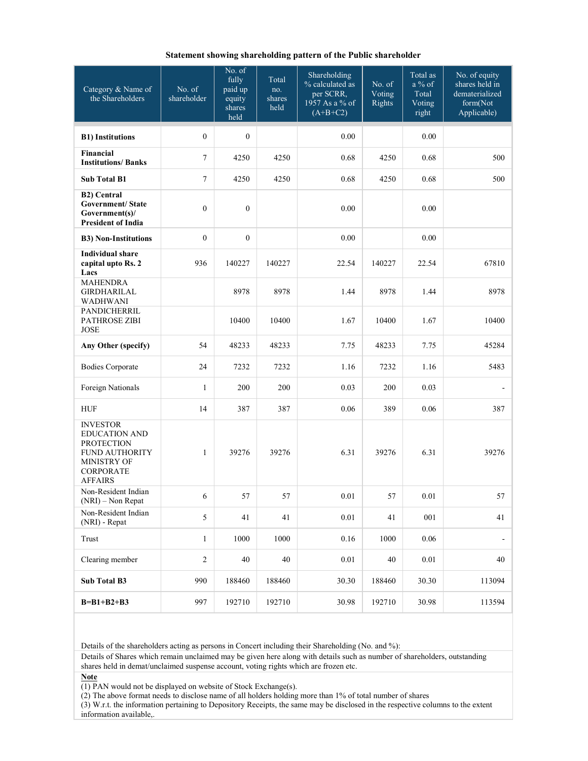|  |  |  | Statement showing shareholding pattern of the Public shareholder |
|--|--|--|------------------------------------------------------------------|
|--|--|--|------------------------------------------------------------------|

| Category & Name of<br>the Shareholders                                                                                                     | No. of<br>shareholder | No. of<br>fully<br>paid up<br>equity<br>shares<br>held | Total<br>no.<br>shares<br>held | Shareholding<br>% calculated as<br>per SCRR,<br>1957 As a % of<br>$(A+B+C2)$ | No. of<br>Voting<br>Rights | Total as<br>$a\%$ of<br>Total<br>Voting<br>right | No. of equity<br>shares held in<br>dematerialized<br>form(Not<br>Applicable) |
|--------------------------------------------------------------------------------------------------------------------------------------------|-----------------------|--------------------------------------------------------|--------------------------------|------------------------------------------------------------------------------|----------------------------|--------------------------------------------------|------------------------------------------------------------------------------|
| <b>B1)</b> Institutions                                                                                                                    | $\boldsymbol{0}$      | $\mathbf{0}$                                           |                                | 0.00                                                                         |                            | 0.00                                             |                                                                              |
| Financial<br><b>Institutions/Banks</b>                                                                                                     | $\tau$                | 4250                                                   | 4250                           | 0.68                                                                         | 4250                       | 0.68                                             | 500                                                                          |
| <b>Sub Total B1</b>                                                                                                                        | 7                     | 4250                                                   | 4250                           | 0.68                                                                         | 4250                       | 0.68                                             | 500                                                                          |
| <b>B2)</b> Central<br><b>Government/State</b><br>Government(s)/<br><b>President of India</b>                                               | $\boldsymbol{0}$      | $\mathbf{0}$                                           |                                | 0.00                                                                         |                            | 0.00                                             |                                                                              |
| <b>B3) Non-Institutions</b>                                                                                                                | $\boldsymbol{0}$      | $\mathbf{0}$                                           |                                | 0.00                                                                         |                            | 0.00                                             |                                                                              |
| <b>Individual share</b><br>capital upto Rs. 2<br>Lacs                                                                                      | 936                   | 140227                                                 | 140227                         | 22.54                                                                        | 140227                     | 22.54                                            | 67810                                                                        |
| <b>MAHENDRA</b><br>GIRDHARILAL<br>WADHWANI                                                                                                 |                       | 8978                                                   | 8978                           | 1.44                                                                         | 8978                       | 1.44                                             | 8978                                                                         |
| PANDICHERRIL<br><b>PATHROSE ZIBI</b><br><b>JOSE</b>                                                                                        |                       | 10400                                                  | 10400                          | 1.67                                                                         | 10400                      | 1.67                                             | 10400                                                                        |
| Any Other (specify)                                                                                                                        | 54                    | 48233                                                  | 48233                          | 7.75                                                                         | 48233                      | 7.75                                             | 45284                                                                        |
| <b>Bodies Corporate</b>                                                                                                                    | 24                    | 7232                                                   | 7232                           | 1.16                                                                         | 7232                       | 1.16                                             | 5483                                                                         |
| Foreign Nationals                                                                                                                          | $\mathbf{1}$          | 200                                                    | 200                            | 0.03                                                                         | 200                        | 0.03                                             |                                                                              |
| <b>HUF</b>                                                                                                                                 | 14                    | 387                                                    | 387                            | 0.06                                                                         | 389                        | 0.06                                             | 387                                                                          |
| <b>INVESTOR</b><br><b>EDUCATION AND</b><br><b>PROTECTION</b><br><b>FUND AUTHORITY</b><br>MINISTRY OF<br><b>CORPORATE</b><br><b>AFFAIRS</b> | $\mathbf{1}$          | 39276                                                  | 39276                          | 6.31                                                                         | 39276                      | 6.31                                             | 39276                                                                        |
| Non-Resident Indian<br>(NRI) - Non Repat                                                                                                   | 6                     | 57                                                     | 57                             | $0.01\,$                                                                     | 57                         | $0.01\,$                                         | 57                                                                           |
| Non-Resident Indian<br>(NRI) - Repat                                                                                                       | 5                     | 41                                                     | 41                             | 0.01                                                                         | 41                         | $001\,$                                          | 41                                                                           |
| Trust                                                                                                                                      | $\mathbf{1}$          | 1000                                                   | 1000                           | 0.16                                                                         | 1000                       | 0.06                                             |                                                                              |
| Clearing member                                                                                                                            | $\sqrt{2}$            | 40                                                     | 40                             | 0.01                                                                         | 40                         | 0.01                                             | 40                                                                           |
| Sub Total B3                                                                                                                               | 990                   | 188460                                                 | 188460                         | 30.30                                                                        | 188460                     | 30.30                                            | 113094                                                                       |
| $B = B1 + B2 + B3$                                                                                                                         | 997                   | 192710                                                 | 192710                         | 30.98                                                                        | 192710                     | 30.98                                            | 113594                                                                       |

Details of the shareholders acting as persons in Concert including their Shareholding (No. and %):

Details of Shares which remain unclaimed may be given here along with details such as number of shareholders, outstanding shares held in demat/unclaimed suspense account, voting rights which are frozen etc.

Note

(1) PAN would not be displayed on website of Stock Exchange(s).

(2) The above format needs to disclose name of all holders holding more than 1% of total number of shares

(3) W.r.t. the information pertaining to Depository Receipts, the same may be disclosed in the respective columns to the extent information available,.